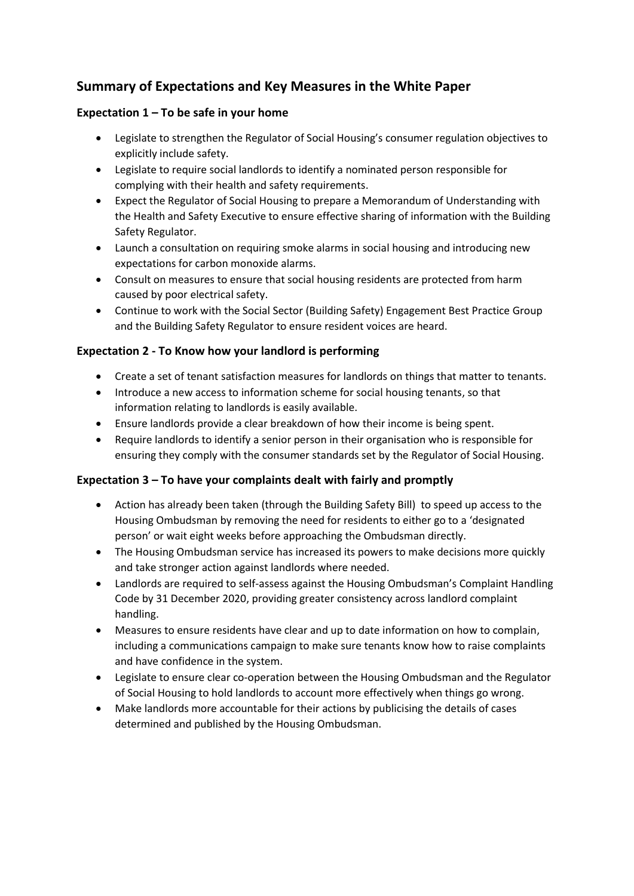# **Summary of Expectations and Key Measures in the White Paper**

### **Expectation 1 – To be safe in your home**

- Legislate to strengthen the Regulator of Social Housing's consumer regulation objectives to explicitly include safety.
- Legislate to require social landlords to identify a nominated person responsible for complying with their health and safety requirements.
- Expect the Regulator of Social Housing to prepare a Memorandum of Understanding with the Health and Safety Executive to ensure effective sharing of information with the Building Safety Regulator.
- Launch a consultation on requiring smoke alarms in social housing and introducing new expectations for carbon monoxide alarms.
- Consult on measures to ensure that social housing residents are protected from harm caused by poor electrical safety.
- Continue to work with the Social Sector (Building Safety) Engagement Best Practice Group and the Building Safety Regulator to ensure resident voices are heard.

#### **Expectation 2 - To Know how your landlord is performing**

- Create a set of tenant satisfaction measures for landlords on things that matter to tenants.
- Introduce a new access to information scheme for social housing tenants, so that information relating to landlords is easily available.
- Ensure landlords provide a clear breakdown of how their income is being spent.
- Require landlords to identify a senior person in their organisation who is responsible for ensuring they comply with the consumer standards set by the Regulator of Social Housing.

### **Expectation 3 – To have your complaints dealt with fairly and promptly**

- Action has already been taken (through the Building Safety Bill) to speed up access to the Housing Ombudsman by removing the need for residents to either go to a 'designated person' or wait eight weeks before approaching the Ombudsman directly.
- The Housing Ombudsman service has increased its powers to make decisions more quickly and take stronger action against landlords where needed.
- Landlords are required to self-assess against the Housing Ombudsman's Complaint Handling Code by 31 December 2020, providing greater consistency across landlord complaint handling.
- Measures to ensure residents have clear and up to date information on how to complain, including a communications campaign to make sure tenants know how to raise complaints and have confidence in the system.
- Legislate to ensure clear co-operation between the Housing Ombudsman and the Regulator of Social Housing to hold landlords to account more effectively when things go wrong.
- Make landlords more accountable for their actions by publicising the details of cases determined and published by the Housing Ombudsman.